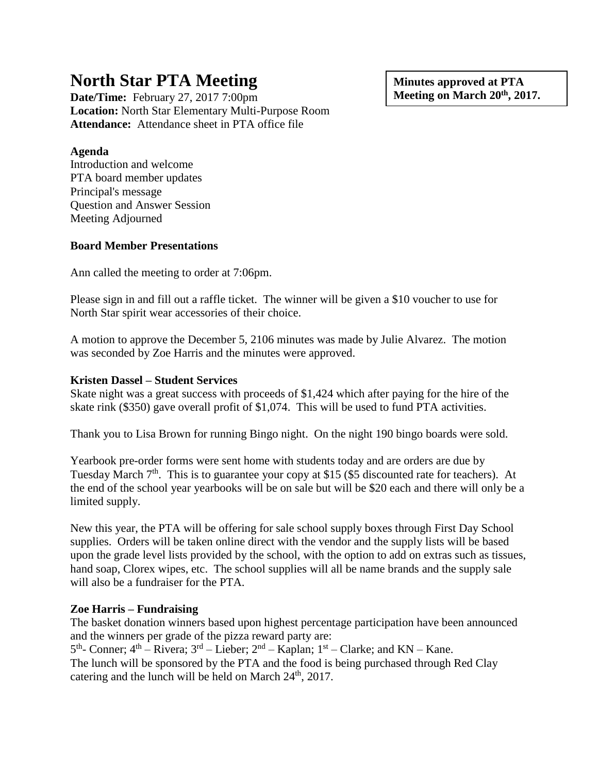# **North Star PTA Meeting**

**Date/Time:** February 27, 2017 7:00pm **Location:** North Star Elementary Multi-Purpose Room **Attendance:** Attendance sheet in PTA office file

**Agenda**

Introduction and welcome PTA board member updates Principal's message Question and Answer Session Meeting Adjourned

# **Board Member Presentations**

Ann called the meeting to order at 7:06pm.

Please sign in and fill out a raffle ticket. The winner will be given a \$10 voucher to use for North Star spirit wear accessories of their choice.

A motion to approve the December 5, 2106 minutes was made by Julie Alvarez. The motion was seconded by Zoe Harris and the minutes were approved.

## **Kristen Dassel – Student Services**

Skate night was a great success with proceeds of \$1,424 which after paying for the hire of the skate rink (\$350) gave overall profit of \$1,074. This will be used to fund PTA activities.

Thank you to Lisa Brown for running Bingo night. On the night 190 bingo boards were sold.

Yearbook pre-order forms were sent home with students today and are orders are due by Tuesday March 7<sup>th</sup>. This is to guarantee your copy at \$15 (\$5 discounted rate for teachers). At the end of the school year yearbooks will be on sale but will be \$20 each and there will only be a limited supply.

New this year, the PTA will be offering for sale school supply boxes through First Day School supplies. Orders will be taken online direct with the vendor and the supply lists will be based upon the grade level lists provided by the school, with the option to add on extras such as tissues, hand soap, Clorex wipes, etc. The school supplies will all be name brands and the supply sale will also be a fundraiser for the PTA.

# **Zoe Harris – Fundraising**

The basket donation winners based upon highest percentage participation have been announced and the winners per grade of the pizza reward party are:

 $5<sup>th</sup>$ - Conner;  $4<sup>th</sup>$  – Rivera;  $3<sup>rd</sup>$  – Lieber;  $2<sup>nd</sup>$  – Kaplan;  $1<sup>st</sup>$  – Clarke; and KN – Kane. The lunch will be sponsored by the PTA and the food is being purchased through Red Clay catering and the lunch will be held on March 24<sup>th</sup>, 2017.

**Minutes approved at PTA Meeting on March 20th , 2017.**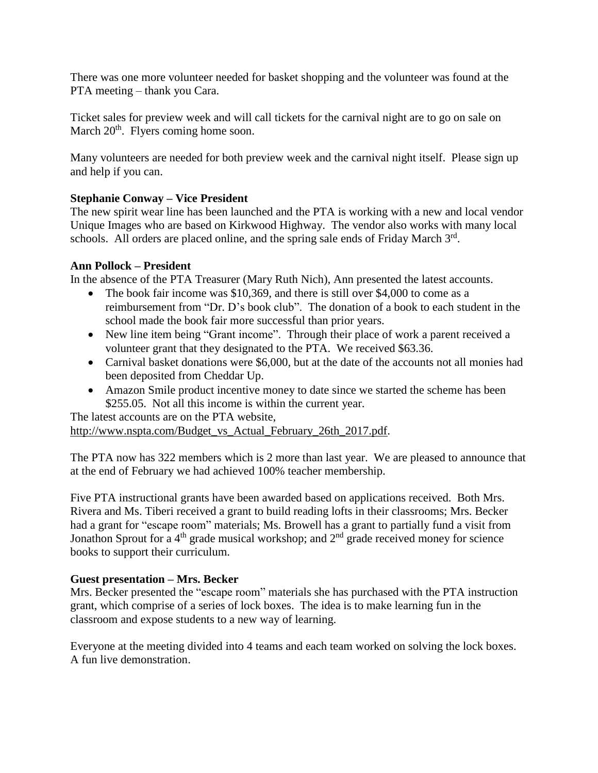There was one more volunteer needed for basket shopping and the volunteer was found at the PTA meeting – thank you Cara.

Ticket sales for preview week and will call tickets for the carnival night are to go on sale on March 20<sup>th</sup>. Flyers coming home soon.

Many volunteers are needed for both preview week and the carnival night itself. Please sign up and help if you can.

## **Stephanie Conway – Vice President**

The new spirit wear line has been launched and the PTA is working with a new and local vendor Unique Images who are based on Kirkwood Highway. The vendor also works with many local schools. All orders are placed online, and the spring sale ends of Friday March 3rd.

## **Ann Pollock – President**

In the absence of the PTA Treasurer (Mary Ruth Nich), Ann presented the latest accounts.

- The book fair income was \$10,369, and there is still over \$4,000 to come as a reimbursement from "Dr. D's book club". The donation of a book to each student in the school made the book fair more successful than prior years.
- New line item being "Grant income". Through their place of work a parent received a volunteer grant that they designated to the PTA. We received \$63.36.
- Carnival basket donations were \$6,000, but at the date of the accounts not all monies had been deposited from Cheddar Up.
- Amazon Smile product incentive money to date since we started the scheme has been \$255.05. Not all this income is within the current year.

The latest accounts are on the PTA website, [http://www.nspta.com/Budget\\_vs\\_Actual\\_February\\_26th\\_2017.pdf.](http://www.nspta.com/Budget_vs_Actual_February_26th_2017.pdf)

The PTA now has 322 members which is 2 more than last year. We are pleased to announce that at the end of February we had achieved 100% teacher membership.

Five PTA instructional grants have been awarded based on applications received. Both Mrs. Rivera and Ms. Tiberi received a grant to build reading lofts in their classrooms; Mrs. Becker had a grant for "escape room" materials; Ms. Browell has a grant to partially fund a visit from Jonathon Sprout for a 4<sup>th</sup> grade musical workshop; and 2<sup>nd</sup> grade received money for science books to support their curriculum.

#### **Guest presentation – Mrs. Becker**

Mrs. Becker presented the "escape room" materials she has purchased with the PTA instruction grant, which comprise of a series of lock boxes. The idea is to make learning fun in the classroom and expose students to a new way of learning.

Everyone at the meeting divided into 4 teams and each team worked on solving the lock boxes. A fun live demonstration.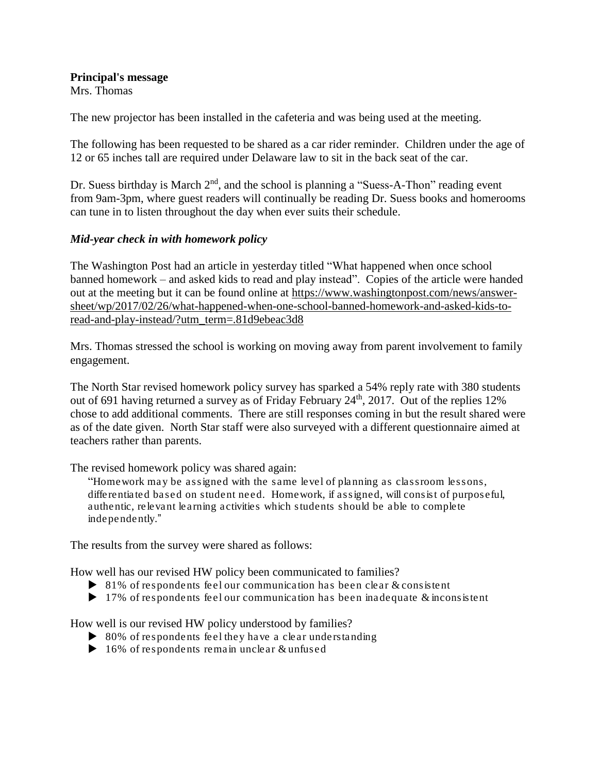**Principal's message** Mrs. Thomas

The new projector has been installed in the cafeteria and was being used at the meeting.

The following has been requested to be shared as a car rider reminder. Children under the age of 12 or 65 inches tall are required under Delaware law to sit in the back seat of the car.

Dr. Suess birthday is March  $2<sup>nd</sup>$ , and the school is planning a "Suess-A-Thon" reading event from 9am-3pm, where guest readers will continually be reading Dr. Suess books and homerooms can tune in to listen throughout the day when ever suits their schedule.

## *Mid-year check in with homework policy*

The Washington Post had an article in yesterday titled "What happened when once school banned homework – and asked kids to read and play instead". Copies of the article were handed out at the meeting but it can be found online at [https://www.washingtonpost.com/news/answer](https://www.washingtonpost.com/news/answer-sheet/wp/2017/02/26/what-happened-when-one-school-banned-homework-and-asked-kids-to-read-and-play-instead/?utm_term=.81d9ebeac3d8)[sheet/wp/2017/02/26/what-happened-when-one-school-banned-homework-and-asked-kids-to](https://www.washingtonpost.com/news/answer-sheet/wp/2017/02/26/what-happened-when-one-school-banned-homework-and-asked-kids-to-read-and-play-instead/?utm_term=.81d9ebeac3d8)[read-and-play-instead/?utm\\_term=.81d9ebeac3d8](https://www.washingtonpost.com/news/answer-sheet/wp/2017/02/26/what-happened-when-one-school-banned-homework-and-asked-kids-to-read-and-play-instead/?utm_term=.81d9ebeac3d8)

Mrs. Thomas stressed the school is working on moving away from parent involvement to family engagement.

The North Star revised homework policy survey has sparked a 54% reply rate with 380 students out of 691 having returned a survey as of Friday February  $24<sup>th</sup>$ ,  $2017$ . Out of the replies 12% chose to add additional comments. There are still responses coming in but the result shared were as of the date given. North Star staff were also surveyed with a different questionnaire aimed at teachers rather than parents.

The revised homework policy was shared again:

"Homework may be assigned with the same level of planning as classroom lessons, differentiated based on student need. Homework, if assigned, will consist of purposeful, authentic, relevant learning activities which students should be able to complete independently."

The results from the survey were shared as follows:

How well has our revised HW policy been communicated to families?

- $\triangleright$  81% of respondents feel our communication has been clear & consistent
- $\blacktriangleright$  17% of respondents feel our communication has been inadequate & inconsistent

How well is our revised HW policy understood by families?

- $\triangleright$  80% of respondents feel they have a clear understanding
- $\blacktriangleright$  16% of respondents remain unclear & unfused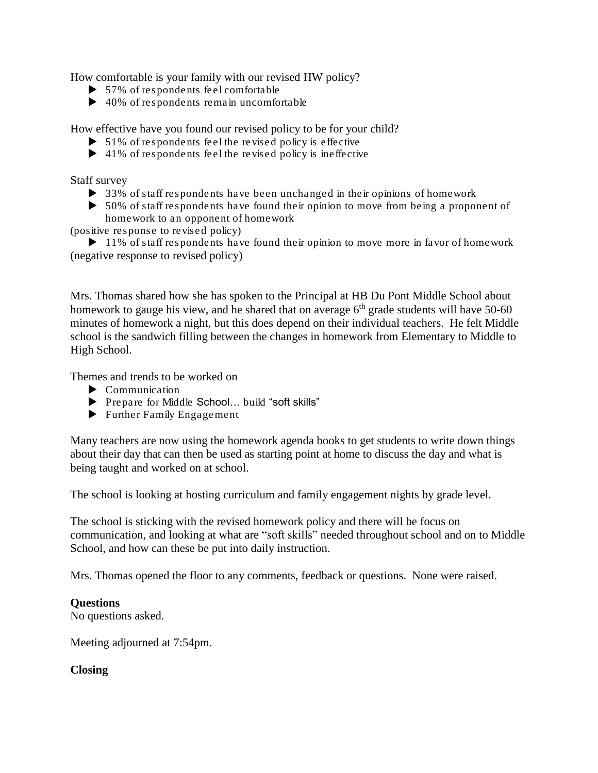How comfortable is your family with our revised HW policy?

- $\blacktriangleright$  57% of respondents feel comfortable
- $\blacktriangleright$  40% of respondents remain uncomfortable

How effective have you found our revised policy to be for your child?

- $\triangleright$  51% of respondents feel the revised policy is effective
- $\blacktriangleright$  41% of respondents feel the revised policy is ineffective

Staff survey

- 33% of staff respondents have been unchanged in their opinions of homework
- $\triangleright$  50% of staff respondents have found their opinion to move from being a proponent of homework to an opponent of homework

(positive response to revised policy)

 $\blacktriangleright$  11% of staff respondents have found their opinion to move more in favor of homework (negative response to revised policy)

Mrs. Thomas shared how she has spoken to the Principal at HB Du Pont Middle School about homework to gauge his view, and he shared that on average  $6<sup>th</sup>$  grade students will have 50-60 minutes of homework a night, but this does depend on their individual teachers. He felt Middle school is the sandwich filling between the changes in homework from Elementary to Middle to High School.

Themes and trends to be worked on

- Communication
- ▶ Prepare for Middle School... build "soft skills"
- Further Family Engagement

Many teachers are now using the homework agenda books to get students to write down things about their day that can then be used as starting point at home to discuss the day and what is being taught and worked on at school.

The school is looking at hosting curriculum and family engagement nights by grade level.

The school is sticking with the revised homework policy and there will be focus on communication, and looking at what are "soft skills" needed throughout school and on to Middle School, and how can these be put into daily instruction.

Mrs. Thomas opened the floor to any comments, feedback or questions. None were raised.

#### **Questions**

No questions asked.

Meeting adjourned at 7:54pm.

#### **Closing**